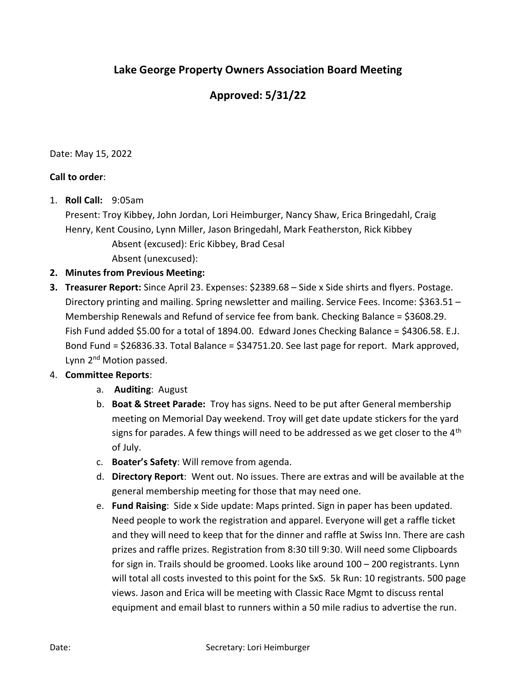## Lake George Property Owners Association Board Meeting

## Approved: 5/31/22

Date: May 15, 2022

## Call to order:

1. Roll Call: 9:05am

Present: Troy Kibbey, John Jordan, Lori Heimburger, Nancy Shaw, Erica Bringedahl, Craig Henry, Kent Cousino, Lynn Miller, Jason Bringedahl, Mark Featherston, Rick Kibbey Absent (excused): Eric Kibbey, Brad Cesal

Absent (unexcused):

- 2. Minutes from Previous Meeting:
- **3. Treasurer Report:** Since April 23. Expenses: \$2389.68 Side x Side shirts and flyers. Postage. Directory printing and mailing. Spring newsletter and mailing. Service Fees. Income: \$363.51 – Membership Renewals and Refund of service fee from bank. Checking Balance = \$3608.29. Fish Fund added \$5.00 for a total of 1894.00. Edward Jones Checking Balance = \$4306.58. E.J. Bond Fund = \$26836.33. Total Balance = \$34751.20. See last page for report. Mark approved, Lynn 2<sup>nd</sup> Motion passed.

## 4. Committee Reports:

- a. Auditing: August
- b. Boat & Street Parade: Troy has signs. Need to be put after General membership meeting on Memorial Day weekend. Troy will get date update stickers for the yard signs for parades. A few things will need to be addressed as we get closer to the  $4<sup>th</sup>$ of July.
- c. Boater's Safety: Will remove from agenda.
- d. Directory Report: Went out. No issues. There are extras and will be available at the general membership meeting for those that may need one.
- e. Fund Raising: Side x Side update: Maps printed. Sign in paper has been updated. Need people to work the registration and apparel. Everyone will get a raffle ticket and they will need to keep that for the dinner and raffle at Swiss Inn. There are cash prizes and raffle prizes. Registration from 8:30 till 9:30. Will need some Clipboards for sign in. Trails should be groomed. Looks like around 100 – 200 registrants. Lynn will total all costs invested to this point for the SxS. 5k Run: 10 registrants. 500 page views. Jason and Erica will be meeting with Classic Race Mgmt to discuss rental equipment and email blast to runners within a 50 mile radius to advertise the run.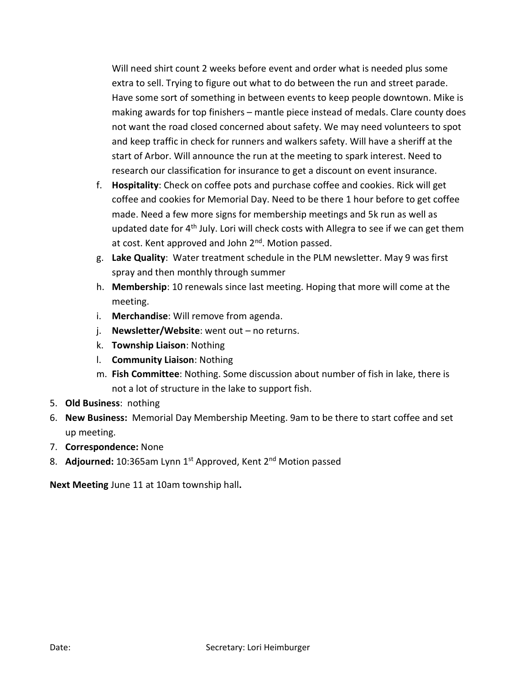Will need shirt count 2 weeks before event and order what is needed plus some extra to sell. Trying to figure out what to do between the run and street parade. Have some sort of something in between events to keep people downtown. Mike is making awards for top finishers – mantle piece instead of medals. Clare county does not want the road closed concerned about safety. We may need volunteers to spot and keep traffic in check for runners and walkers safety. Will have a sheriff at the start of Arbor. Will announce the run at the meeting to spark interest. Need to research our classification for insurance to get a discount on event insurance.

- f. Hospitality: Check on coffee pots and purchase coffee and cookies. Rick will get coffee and cookies for Memorial Day. Need to be there 1 hour before to get coffee made. Need a few more signs for membership meetings and 5k run as well as updated date for 4<sup>th</sup> July. Lori will check costs with Allegra to see if we can get them at cost. Kent approved and John  $2<sup>nd</sup>$ . Motion passed.
- g. Lake Quality: Water treatment schedule in the PLM newsletter. May 9 was first spray and then monthly through summer
- h. Membership: 10 renewals since last meeting. Hoping that more will come at the meeting.
- i. Merchandise: Will remove from agenda.
- j. Newsletter/Website: went out no returns.
- k. Township Liaison: Nothing
- l. Community Liaison: Nothing
- m. Fish Committee: Nothing. Some discussion about number of fish in lake, there is not a lot of structure in the lake to support fish.
- 5. Old Business: nothing
- 6. New Business: Memorial Day Membership Meeting. 9am to be there to start coffee and set up meeting.
- 7. Correspondence: None
- 8. Adjourned: 10:365am Lynn 1<sup>st</sup> Approved, Kent 2<sup>nd</sup> Motion passed

Next Meeting June 11 at 10am township hall.